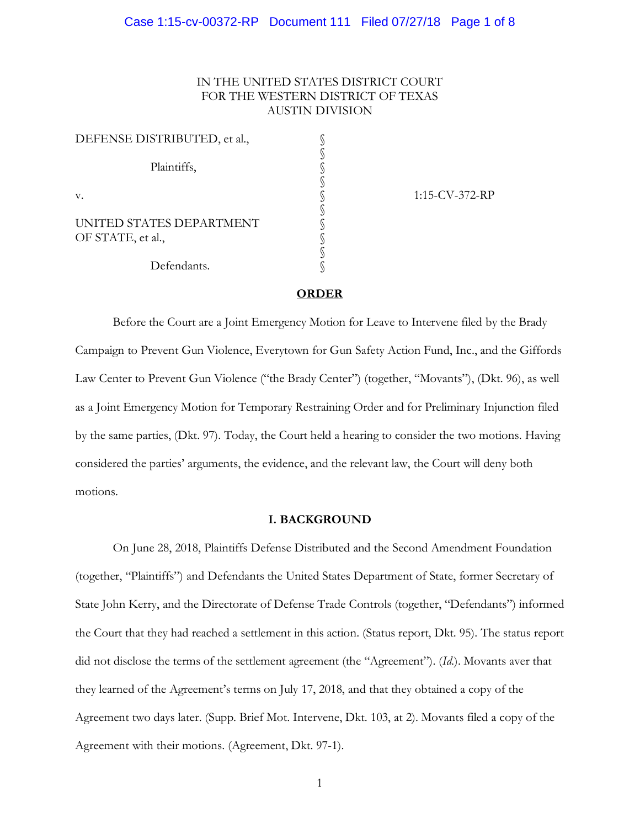# IN THE UNITED STATES DISTRICT COURT FOR THE WESTERN DISTRICT OF TEXAS AUSTIN DIVISION

| DEFENSE DISTRIBUTED, et al.,                  |  |
|-----------------------------------------------|--|
| Plaintiffs,                                   |  |
| v.                                            |  |
| UNITED STATES DEPARTMENT<br>OF STATE, et al., |  |
| Defendants.                                   |  |

1:15-CV-372-RP

#### **ORDER**

Before the Court are a Joint Emergency Motion for Leave to Intervene filed by the Brady Campaign to Prevent Gun Violence, Everytown for Gun Safety Action Fund, Inc., and the Giffords Law Center to Prevent Gun Violence ("the Brady Center") (together, "Movants"), (Dkt. 96), as well as a Joint Emergency Motion for Temporary Restraining Order and for Preliminary Injunction filed by the same parties, (Dkt. 97). Today, the Court held a hearing to consider the two motions. Having considered the parties' arguments, the evidence, and the relevant law, the Court will deny both motions.

## **I. BACKGROUND**

On June 28, 2018, Plaintiffs Defense Distributed and the Second Amendment Foundation (together, "Plaintiffs") and Defendants the United States Department of State, former Secretary of State John Kerry, and the Directorate of Defense Trade Controls (together, "Defendants") informed the Court that they had reached a settlement in this action. (Status report, Dkt. 95). The status report did not disclose the terms of the settlement agreement (the "Agreement"). (*Id*.). Movants aver that they learned of the Agreement's terms on July 17, 2018, and that they obtained a copy of the Agreement two days later. (Supp. Brief Mot. Intervene, Dkt. 103, at 2). Movants filed a copy of the Agreement with their motions. (Agreement, Dkt. 97-1).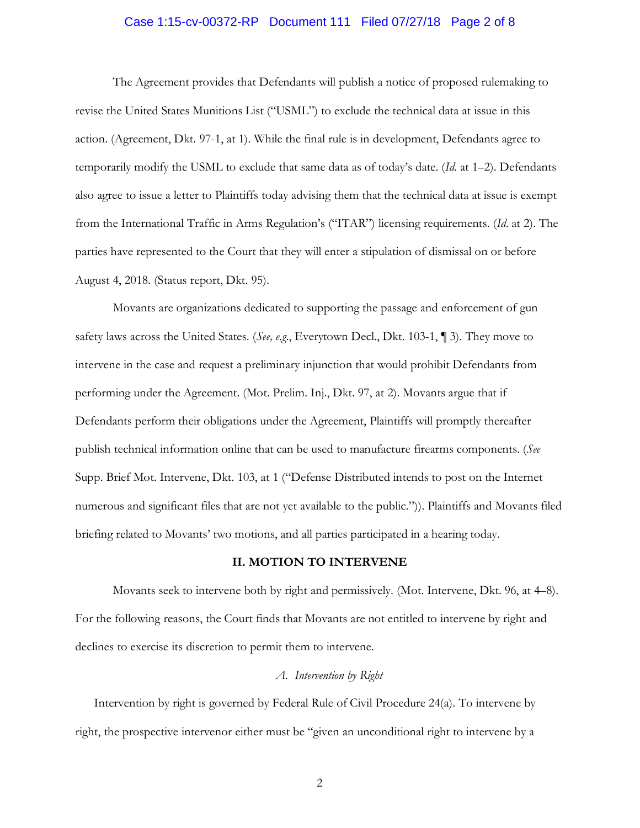## Case 1:15-cv-00372-RP Document 111 Filed 07/27/18 Page 2 of 8

The Agreement provides that Defendants will publish a notice of proposed rulemaking to revise the United States Munitions List ("USML") to exclude the technical data at issue in this action. (Agreement, Dkt. 97-1, at 1). While the final rule is in development, Defendants agree to temporarily modify the USML to exclude that same data as of today's date. (*Id*. at 1–2). Defendants also agree to issue a letter to Plaintiffs today advising them that the technical data at issue is exempt from the International Traffic in Arms Regulation's ("ITAR") licensing requirements. (*Id*. at 2). The parties have represented to the Court that they will enter a stipulation of dismissal on or before August 4, 2018. (Status report, Dkt. 95).

Movants are organizations dedicated to supporting the passage and enforcement of gun safety laws across the United States. (*See, e.g*., Everytown Decl., Dkt. 103-1, ¶ 3). They move to intervene in the case and request a preliminary injunction that would prohibit Defendants from performing under the Agreement. (Mot. Prelim. Inj., Dkt. 97, at 2). Movants argue that if Defendants perform their obligations under the Agreement, Plaintiffs will promptly thereafter publish technical information online that can be used to manufacture firearms components. (*See* Supp. Brief Mot. Intervene, Dkt. 103, at 1 ("Defense Distributed intends to post on the Internet numerous and significant files that are not yet available to the public.")). Plaintiffs and Movants filed briefing related to Movants' two motions, and all parties participated in a hearing today.

#### **II. MOTION TO INTERVENE**

Movants seek to intervene both by right and permissively. (Mot. Intervene, Dkt. 96, at 4–8). For the following reasons, the Court finds that Movants are not entitled to intervene by right and declines to exercise its discretion to permit them to intervene.

### *A. Intervention by Right*

Intervention by right is governed by Federal Rule of Civil Procedure 24(a). To intervene by right, the prospective intervenor either must be "given an unconditional right to intervene by a

2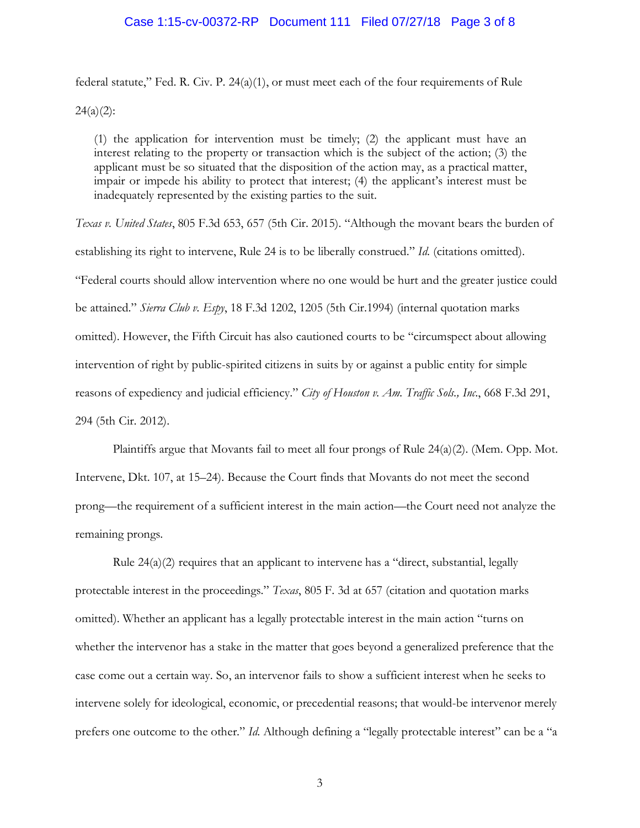federal statute," Fed. R. Civ. P.  $24(a)(1)$ , or must meet each of the four requirements of Rule  $24(a)(2)$ :

(1) the application for intervention must be timely; (2) the applicant must have an interest relating to the property or transaction which is the subject of the action; (3) the applicant must be so situated that the disposition of the action may, as a practical matter, impair or impede his ability to protect that interest; (4) the applicant's interest must be inadequately represented by the existing parties to the suit.

*Texas v. United States*, 805 F.3d 653, 657 (5th Cir. 2015). "Although the movant bears the burden of establishing its right to intervene, Rule 24 is to be liberally construed." *Id*. (citations omitted). "Federal courts should allow intervention where no one would be hurt and the greater justice could be attained." *Sierra Club v. Espy*, 18 F.3d 1202, 1205 (5th Cir.1994) (internal quotation marks omitted). However, the Fifth Circuit has also cautioned courts to be "circumspect about allowing intervention of right by public-spirited citizens in suits by or against a public entity for simple reasons of expediency and judicial efficiency." *City of Houston v. Am. Traffic Sols., Inc.*, 668 F.3d 291, 294 (5th Cir. 2012).

Plaintiffs argue that Movants fail to meet all four prongs of Rule  $24(a)(2)$ . (Mem. Opp. Mot. Intervene, Dkt. 107, at 15–24). Because the Court finds that Movants do not meet the second prong—the requirement of a sufficient interest in the main action—the Court need not analyze the remaining prongs.

Rule  $24(a)(2)$  requires that an applicant to intervene has a "direct, substantial, legally protectable interest in the proceedings." *Texas*, 805 F. 3d at 657 (citation and quotation marks omitted). Whether an applicant has a legally protectable interest in the main action "turns on whether the intervenor has a stake in the matter that goes beyond a generalized preference that the case come out a certain way. So, an intervenor fails to show a sufficient interest when he seeks to intervene solely for ideological, economic, or precedential reasons; that would-be intervenor merely prefers one outcome to the other." *Id*. Although defining a "legally protectable interest" can be a "a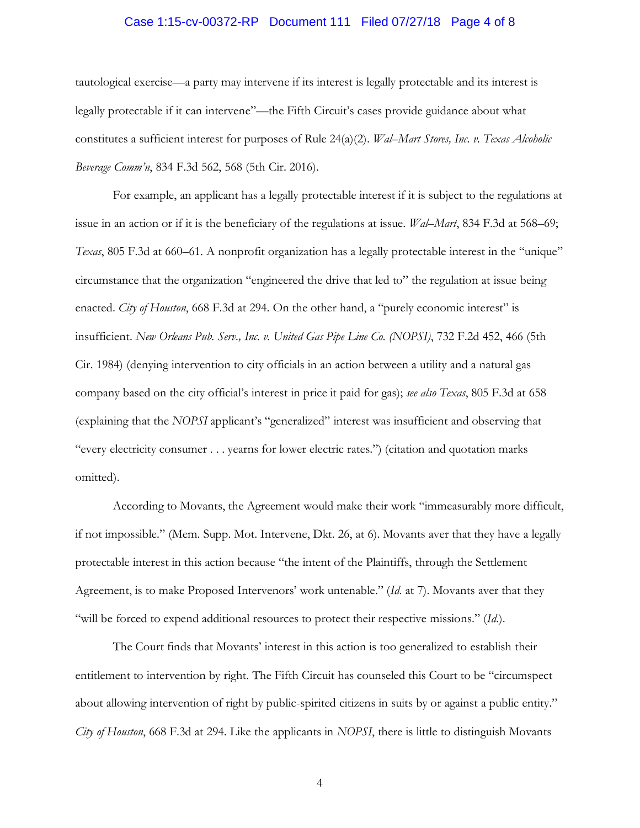#### Case 1:15-cv-00372-RP Document 111 Filed 07/27/18 Page 4 of 8

tautological exercise—a party may intervene if its interest is legally protectable and its interest is legally protectable if it can intervene"—the Fifth Circuit's cases provide guidance about what constitutes a sufficient interest for purposes of Rule 24(a)(2). *Wal–Mart Stores, Inc. v. Texas Alcoholic Beverage Comm'n*, 834 F.3d 562, 568 (5th Cir. 2016).

For example, an applicant has a legally protectable interest if it is subject to the regulations at issue in an action or if it is the beneficiary of the regulations at issue. *Wal–Mart*, 834 F.3d at 568–69; *Texas*, 805 F.3d at 660–61. A nonprofit organization has a legally protectable interest in the "unique" circumstance that the organization "engineered the drive that led to" the regulation at issue being enacted. *City of Houston*, 668 F.3d at 294. On the other hand, a "purely economic interest" is insufficient. *New Orleans Pub. Serv., Inc. v. United Gas Pipe Line Co. (NOPSI)*, 732 F.2d 452, 466 (5th Cir. 1984) (denying intervention to city officials in an action between a utility and a natural gas company based on the city official's interest in price it paid for gas); *see also Texas*, 805 F.3d at 658 (explaining that the *NOPSI* applicant's "generalized" interest was insufficient and observing that "every electricity consumer . . . yearns for lower electric rates.") (citation and quotation marks omitted).

According to Movants, the Agreement would make their work "immeasurably more difficult, if not impossible." (Mem. Supp. Mot. Intervene, Dkt. 26, at 6). Movants aver that they have a legally protectable interest in this action because "the intent of the Plaintiffs, through the Settlement Agreement, is to make Proposed Intervenors' work untenable." (*Id*. at 7). Movants aver that they "will be forced to expend additional resources to protect their respective missions." (*Id*.).

The Court finds that Movants' interest in this action is too generalized to establish their entitlement to intervention by right. The Fifth Circuit has counseled this Court to be "circumspect about allowing intervention of right by public-spirited citizens in suits by or against a public entity." *City of Houston*, 668 F.3d at 294. Like the applicants in *NOPSI*, there is little to distinguish Movants

4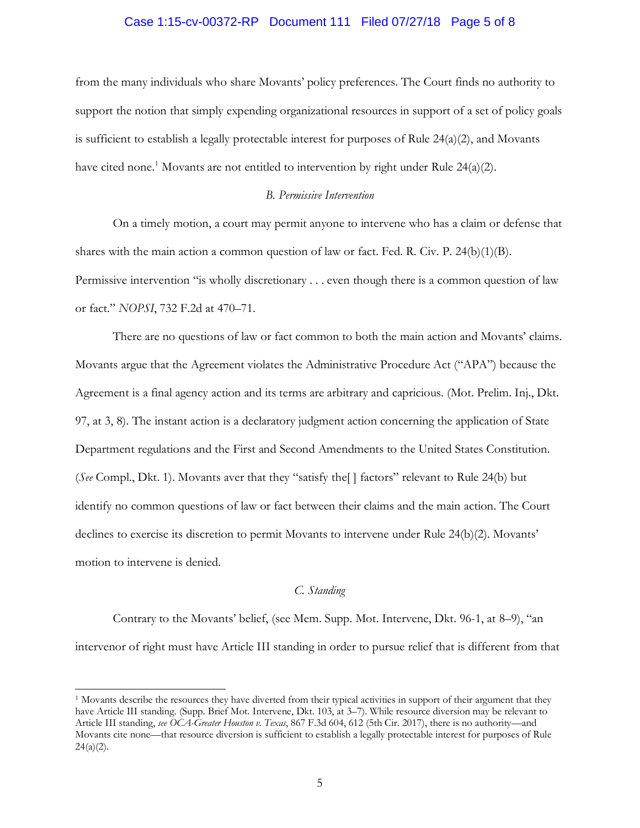## Case 1:15-cv-00372-RP Document 111 Filed 07/27/18 Page 5 of 8

from the many individuals who share Movants' policy preferences. The Court finds no authority to support the notion that simply expending organizational resources in support of a set of policy goals is sufficient to establish a legally protectable interest for purposes of Rule 24(a)(2), and Movants have cited none.<sup>1</sup> Movants are not entitled to intervention by right under Rule 24(a)(2).

# *B. Permissive Intervention*

On a timely motion, a court may permit anyone to intervene who has a claim or defense that shares with the main action a common question of law or fact. Fed. R. Civ. P. 24(b)(1)(B). Permissive intervention "is wholly discretionary . . . even though there is a common question of law or fact." *NOPSI*, 732 F.2d at 470–71.

There are no questions of law or fact common to both the main action and Movants' claims. Movants argue that the Agreement violates the Administrative Procedure Act ("APA") because the Agreement is a final agency action and its terms are arbitrary and capricious. (Mot. Prelim. Inj., Dkt. 97, at 3, 8). The instant action is a declaratory judgment action concerning the application of State Department regulations and the First and Second Amendments to the United States Constitution. (*See* Compl., Dkt. 1). Movants aver that they "satisfy the[ ] factors" relevant to Rule 24(b) but identify no common questions of law or fact between their claims and the main action. The Court declines to exercise its discretion to permit Movants to intervene under Rule 24(b)(2). Movants' motion to intervene is denied.

# *C. Standing*

Contrary to the Movants' belief, (see Mem. Supp. Mot. Intervene, Dkt. 96-1, at 8–9), "an intervenor of right must have Article III standing in order to pursue relief that is different from that

<sup>-</sup><sup>1</sup> Movants describe the resources they have diverted from their typical activities in support of their argument that they have Article III standing. (Supp. Brief Mot. Intervene, Dkt. 103, at 3–7). While resource diversion may be relevant to Article III standing, *see OCA-Greater Houston v. Texas*, 867 F.3d 604, 612 (5th Cir. 2017), there is no authority—and Movants cite none—that resource diversion is sufficient to establish a legally protectable interest for purposes of Rule  $24(a)(2)$ .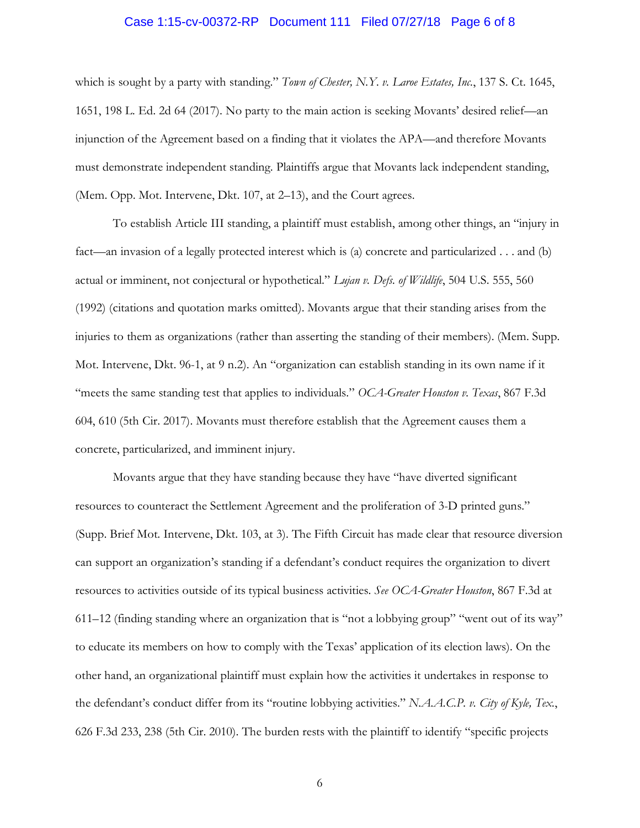## Case 1:15-cv-00372-RP Document 111 Filed 07/27/18 Page 6 of 8

which is sought by a party with standing." *Town of Chester, N.Y. v. Laroe Estates, Inc.*, 137 S. Ct. 1645, 1651, 198 L. Ed. 2d 64 (2017). No party to the main action is seeking Movants' desired relief—an injunction of the Agreement based on a finding that it violates the APA—and therefore Movants must demonstrate independent standing. Plaintiffs argue that Movants lack independent standing, (Mem. Opp. Mot. Intervene, Dkt. 107, at 2–13), and the Court agrees.

To establish Article III standing, a plaintiff must establish, among other things, an "injury in fact—an invasion of a legally protected interest which is (a) concrete and particularized . . . and (b) actual or imminent, not conjectural or hypothetical." *Lujan v. Defs. of Wildlife*, 504 U.S. 555, 560 (1992) (citations and quotation marks omitted). Movants argue that their standing arises from the injuries to them as organizations (rather than asserting the standing of their members). (Mem. Supp. Mot. Intervene, Dkt. 96-1, at 9 n.2). An "organization can establish standing in its own name if it "meets the same standing test that applies to individuals." *OCA-Greater Houston v. Texas*, 867 F.3d 604, 610 (5th Cir. 2017). Movants must therefore establish that the Agreement causes them a concrete, particularized, and imminent injury.

Movants argue that they have standing because they have "have diverted significant resources to counteract the Settlement Agreement and the proliferation of 3-D printed guns." (Supp. Brief Mot. Intervene, Dkt. 103, at 3). The Fifth Circuit has made clear that resource diversion can support an organization's standing if a defendant's conduct requires the organization to divert resources to activities outside of its typical business activities. *See OCA-Greater Houston*, 867 F.3d at 611–12 (finding standing where an organization that is "not a lobbying group" "went out of its way" to educate its members on how to comply with the Texas' application of its election laws). On the other hand, an organizational plaintiff must explain how the activities it undertakes in response to the defendant's conduct differ from its "routine lobbying activities." *N.A.A.C.P. v. City of Kyle, Tex.*, 626 F.3d 233, 238 (5th Cir. 2010). The burden rests with the plaintiff to identify "specific projects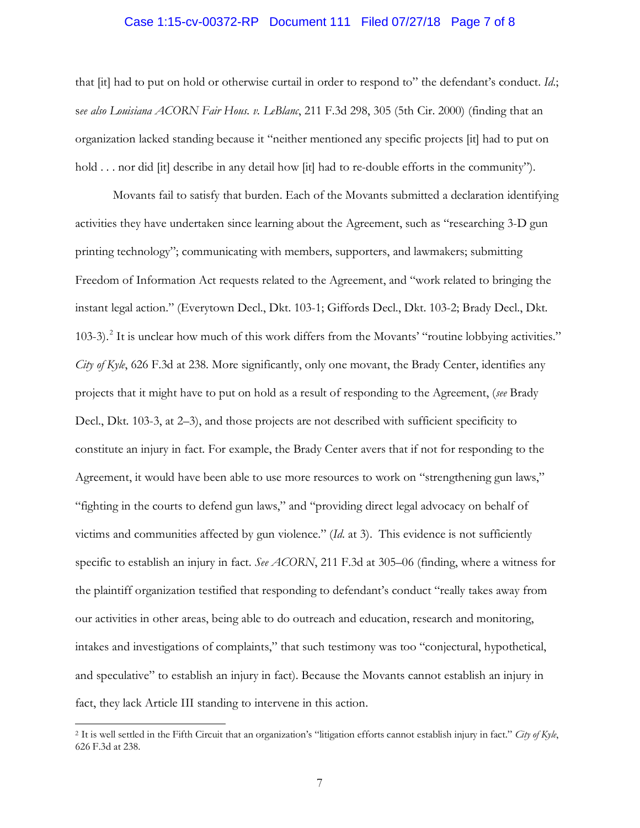## Case 1:15-cv-00372-RP Document 111 Filed 07/27/18 Page 7 of 8

that [it] had to put on hold or otherwise curtail in order to respond to" the defendant's conduct. *Id*.; s*ee also Louisiana ACORN Fair Hous. v. LeBlanc*, 211 F.3d 298, 305 (5th Cir. 2000) (finding that an organization lacked standing because it "neither mentioned any specific projects [it] had to put on hold . . . nor did [it] describe in any detail how [it] had to re-double efforts in the community").

Movants fail to satisfy that burden. Each of the Movants submitted a declaration identifying activities they have undertaken since learning about the Agreement, such as "researching 3-D gun printing technology"; communicating with members, supporters, and lawmakers; submitting Freedom of Information Act requests related to the Agreement, and "work related to bringing the instant legal action." (Everytown Decl., Dkt. 103-1; Giffords Decl., Dkt. 103-2; Brady Decl., Dkt. 103-3).<sup>2</sup> It is unclear how much of this work differs from the Movants' "routine lobbying activities." *City of Kyle*, 626 F.3d at 238. More significantly, only one movant, the Brady Center, identifies any projects that it might have to put on hold as a result of responding to the Agreement, (*see* Brady Decl., Dkt. 103-3, at 2–3), and those projects are not described with sufficient specificity to constitute an injury in fact. For example, the Brady Center avers that if not for responding to the Agreement, it would have been able to use more resources to work on "strengthening gun laws," "fighting in the courts to defend gun laws," and "providing direct legal advocacy on behalf of victims and communities affected by gun violence." (*Id*. at 3). This evidence is not sufficiently specific to establish an injury in fact. *See ACORN*, 211 F.3d at 305–06 (finding, where a witness for the plaintiff organization testified that responding to defendant's conduct "really takes away from our activities in other areas, being able to do outreach and education, research and monitoring, intakes and investigations of complaints," that such testimony was too "conjectural, hypothetical, and speculative" to establish an injury in fact). Because the Movants cannot establish an injury in fact, they lack Article III standing to intervene in this action.

-

<sup>2</sup> It is well settled in the Fifth Circuit that an organization's "litigation efforts cannot establish injury in fact." *City of Kyle*, 626 F.3d at 238.